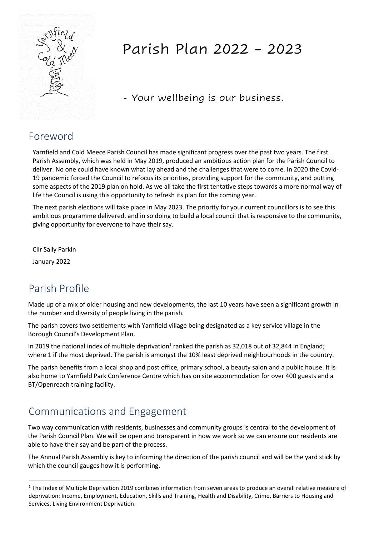

# Parish Plan 2022 - 2023

- Your wellbeing is our business.

#### Foreword

Yarnfield and Cold Meece Parish Council has made significant progress over the past two years. The first Parish Assembly, which was held in May 2019, produced an ambitious action plan for the Parish Council to deliver. No one could have known what lay ahead and the challenges that were to come. In 2020 the Covid-19 pandemic forced the Council to refocus its priorities, providing support for the community, and putting some aspects of the 2019 plan on hold. As we all take the first tentative steps towards a more normal way of life the Council is using this opportunity to refresh its plan for the coming year.

The next parish elections will take place in May 2023. The priority for your current councillors is to see this ambitious programme delivered, and in so doing to build a local council that is responsive to the community, giving opportunity for everyone to have their say.

Cllr Sally Parkin

January 2022

## Parish Profile

Made up of a mix of older housing and new developments, the last 10 years have seen a significant growth in the number and diversity of people living in the parish.

The parish covers two settlements with Yarnfield village being designated as a key service village in the Borough Council's Development Plan.

In 2019 the national index of multiple deprivation<sup>1</sup> ranked the parish as 32,018 out of 32,844 in England; where 1 if the most deprived. The parish is amongst the 10% least deprived neighbourhoods in the country.

The parish benefits from a local shop and post office, primary school, a beauty salon and a public house. It is also home to Yarnfield Park Conference Centre which has on site accommodation for over 400 guests and a BT/Openreach training facility.

#### Communications and Engagement

Two way communication with residents, businesses and community groups is central to the development of the Parish Council Plan. We will be open and transparent in how we work so we can ensure our residents are able to have their say and be part of the process.

The Annual Parish Assembly is key to informing the direction of the parish council and will be the yard stick by which the council gauges how it is performing.

<sup>&</sup>lt;sup>1</sup> The Index of Multiple Deprivation 2019 combines information from seven areas to produce an overall relative measure of deprivation: Income, Employment, Education, Skills and Training, Health and Disability, Crime, Barriers to Housing and Services, Living Environment Deprivation.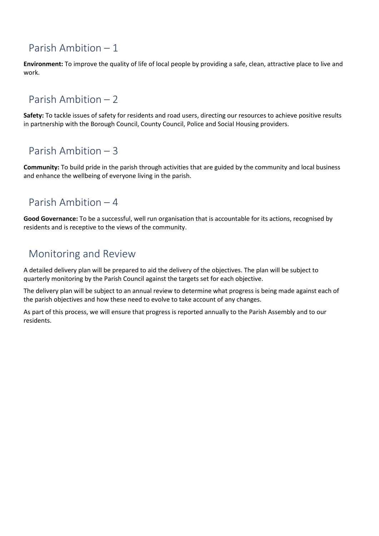# Parish Ambition – 1

**Environment:** To improve the quality of life of local people by providing a safe, clean, attractive place to live and work.

## Parish Ambition – 2

**Safety:** To tackle issues of safety for residents and road users, directing our resources to achieve positive results in partnership with the Borough Council, County Council, Police and Social Housing providers.

#### Parish Ambition – 3

**Community:** To build pride in the parish through activities that are guided by the community and local business and enhance the wellbeing of everyone living in the parish.

#### Parish Ambition – 4

**Good Governance:** To be a successful, well run organisation that is accountable for its actions, recognised by residents and is receptive to the views of the community.

#### Monitoring and Review

A detailed delivery plan will be prepared to aid the delivery of the objectives. The plan will be subject to quarterly monitoring by the Parish Council against the targets set for each objective.

The delivery plan will be subject to an annual review to determine what progress is being made against each of the parish objectives and how these need to evolve to take account of any changes.

As part of this process, we will ensure that progress is reported annually to the Parish Assembly and to our residents.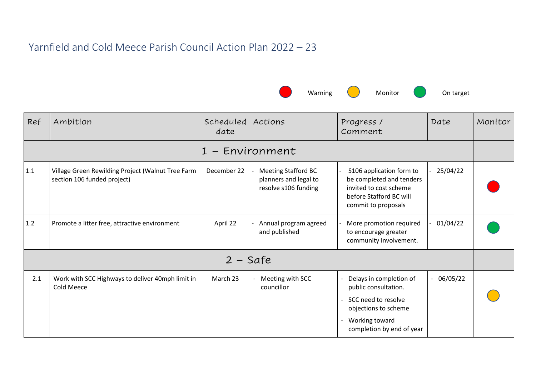## Yarnfield and Cold Meece Parish Council Action Plan 2022 – 23



| Ref               | Ambition                                                                         | Scheduled<br>date | Actions                                                                     | Progress /<br>Comment                                                                                                                         | Date        | Monitor |  |
|-------------------|----------------------------------------------------------------------------------|-------------------|-----------------------------------------------------------------------------|-----------------------------------------------------------------------------------------------------------------------------------------------|-------------|---------|--|
|                   | 1 - Environment                                                                  |                   |                                                                             |                                                                                                                                               |             |         |  |
| 1.1               | Village Green Rewilding Project (Walnut Tree Farm<br>section 106 funded project) | December 22       | <b>Meeting Stafford BC</b><br>planners and legal to<br>resolve s106 funding | S106 application form to<br>be completed and tenders<br>invited to cost scheme<br>before Stafford BC will<br>commit to proposals              | 25/04/22    |         |  |
| 1.2               | Promote a litter free, attractive environment                                    | April 22          | Annual program agreed<br>and published                                      | More promotion required<br>to encourage greater<br>community involvement.                                                                     | 01/04/22    |         |  |
| $2 - \text{Safe}$ |                                                                                  |                   |                                                                             |                                                                                                                                               |             |         |  |
| 2.1               | Work with SCC Highways to deliver 40mph limit in<br><b>Cold Meece</b>            | March 23          | Meeting with SCC<br>councillor                                              | Delays in completion of<br>public consultation.<br>SCC need to resolve<br>objections to scheme<br>Working toward<br>completion by end of year | $-06/05/22$ |         |  |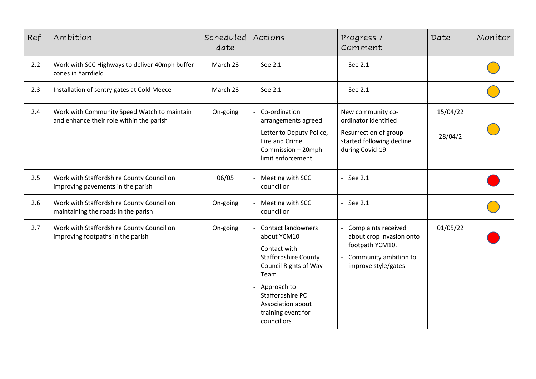| Ref | Ambition                                                                                | Scheduled<br>date | Actions                                                                                                                                                                                                                      | Progress /<br>Comment                                                                                                     | Date                | Monitor |
|-----|-----------------------------------------------------------------------------------------|-------------------|------------------------------------------------------------------------------------------------------------------------------------------------------------------------------------------------------------------------------|---------------------------------------------------------------------------------------------------------------------------|---------------------|---------|
| 2.2 | Work with SCC Highways to deliver 40mph buffer<br>zones in Yarnfield                    | March 23          | - See $2.1$                                                                                                                                                                                                                  | $-$ See 2.1                                                                                                               |                     |         |
| 2.3 | Installation of sentry gates at Cold Meece                                              | March 23          | - See $2.1$                                                                                                                                                                                                                  | - See $2.1$                                                                                                               |                     |         |
| 2.4 | Work with Community Speed Watch to maintain<br>and enhance their role within the parish | On-going          | - Co-ordination<br>arrangements agreed<br>- Letter to Deputy Police,<br>Fire and Crime<br>Commission - 20mph<br>limit enforcement                                                                                            | New community co-<br>ordinator identified<br>Resurrection of group<br>started following decline<br>during Covid-19        | 15/04/22<br>28/04/2 |         |
| 2.5 | Work with Staffordshire County Council on<br>improving pavements in the parish          | 06/05             | Meeting with SCC<br>councillor                                                                                                                                                                                               | - See $2.1$                                                                                                               |                     |         |
| 2.6 | Work with Staffordshire County Council on<br>maintaining the roads in the parish        | On-going          | Meeting with SCC<br>councillor                                                                                                                                                                                               | $-$ See 2.1                                                                                                               |                     |         |
| 2.7 | Work with Staffordshire County Council on<br>improving footpaths in the parish          | On-going          | <b>Contact landowners</b><br>about YCM10<br>Contact with<br><b>Staffordshire County</b><br><b>Council Rights of Way</b><br>Team<br>Approach to<br>Staffordshire PC<br>Association about<br>training event for<br>councillors | <b>Complaints received</b><br>about crop invasion onto<br>footpath YCM10.<br>Community ambition to<br>improve style/gates | 01/05/22            |         |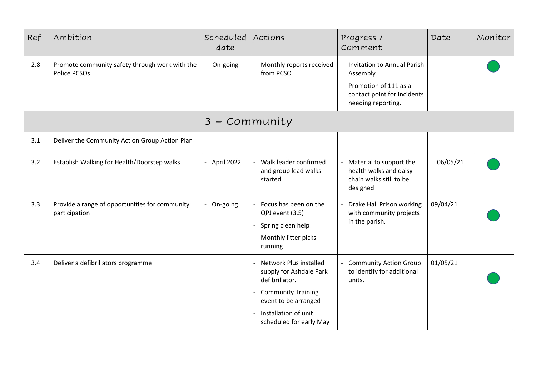| Ref | Ambition                                                        | Scheduled<br>date | Actions                                                                                                                                                                                                        | Progress /<br>Comment                                                                    | Date     | Monitor |
|-----|-----------------------------------------------------------------|-------------------|----------------------------------------------------------------------------------------------------------------------------------------------------------------------------------------------------------------|------------------------------------------------------------------------------------------|----------|---------|
| 2.8 | Promote community safety through work with the<br>Police PCSOs  | On-going          | Monthly reports received<br>from PCSO                                                                                                                                                                          | <b>Invitation to Annual Parish</b><br>Assembly                                           |          |         |
|     |                                                                 |                   |                                                                                                                                                                                                                | Promotion of 111 as a<br>contact point for incidents<br>needing reporting.               |          |         |
|     |                                                                 | 3 - Community     |                                                                                                                                                                                                                |                                                                                          |          |         |
| 3.1 | Deliver the Community Action Group Action Plan                  |                   |                                                                                                                                                                                                                |                                                                                          |          |         |
| 3.2 | Establish Walking for Health/Doorstep walks                     | - April 2022      | Walk leader confirmed<br>and group lead walks<br>started.                                                                                                                                                      | Material to support the<br>health walks and daisy<br>chain walks still to be<br>designed | 06/05/21 |         |
| 3.3 | Provide a range of opportunities for community<br>participation | On-going          | Focus has been on the<br>QPJ event (3.5)<br>Spring clean help<br>Monthly litter picks<br>running                                                                                                               | Drake Hall Prison working<br>with community projects<br>in the parish.                   | 09/04/21 |         |
| 3.4 | Deliver a defibrillators programme                              |                   | <b>Network Plus installed</b><br>supply for Ashdale Park<br>defibrillator.<br><b>Community Training</b><br>event to be arranged<br>Installation of unit<br>$\overline{\phantom{0}}$<br>scheduled for early May | <b>Community Action Group</b><br>to identify for additional<br>units.                    | 01/05/21 |         |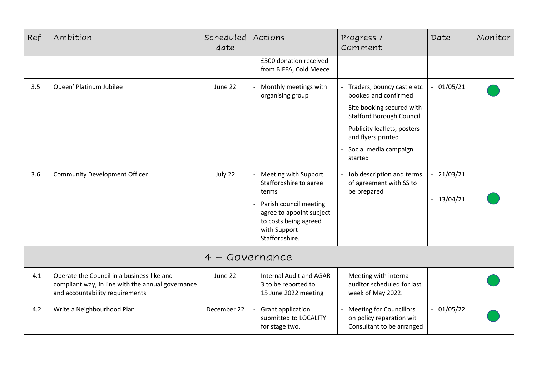| Ref                | Ambition                                                                                                                           | Scheduled<br>date | Actions                                                                                                                                                                  | Progress /<br>Comment                                                                                                                                                                                       | Date                       | Monitor |
|--------------------|------------------------------------------------------------------------------------------------------------------------------------|-------------------|--------------------------------------------------------------------------------------------------------------------------------------------------------------------------|-------------------------------------------------------------------------------------------------------------------------------------------------------------------------------------------------------------|----------------------------|---------|
|                    |                                                                                                                                    |                   | £500 donation received<br>from BIFFA, Cold Meece                                                                                                                         |                                                                                                                                                                                                             |                            |         |
| 3.5                | Queen' Platinum Jubilee                                                                                                            | June 22           | Monthly meetings with<br>organising group                                                                                                                                | Traders, bouncy castle etc<br>booked and confirmed<br>Site booking secured with<br><b>Stafford Borough Council</b><br>Publicity leaflets, posters<br>and flyers printed<br>Social media campaign<br>started | 01/05/21                   |         |
| 3.6                | <b>Community Development Officer</b>                                                                                               | July 22           | Meeting with Support<br>Staffordshire to agree<br>terms<br>Parish council meeting<br>agree to appoint subject<br>to costs being agreed<br>with Support<br>Staffordshire. | Job description and terms<br>of agreement with SS to<br>be prepared                                                                                                                                         | $-21/03/21$<br>$-13/04/21$ |         |
| Governance<br>$4-$ |                                                                                                                                    |                   |                                                                                                                                                                          |                                                                                                                                                                                                             |                            |         |
| 4.1                | Operate the Council in a business-like and<br>compliant way, in line with the annual governance<br>and accountability requirements | June 22           | <b>Internal Audit and AGAR</b><br>3 to be reported to<br>15 June 2022 meeting                                                                                            | Meeting with interna<br>auditor scheduled for last<br>week of May 2022.                                                                                                                                     |                            |         |
| 4.2                | Write a Neighbourhood Plan                                                                                                         | December 22       | Grant application<br>submitted to LOCALITY<br>for stage two.                                                                                                             | <b>Meeting for Councillors</b><br>on policy reparation wit<br>Consultant to be arranged                                                                                                                     | $-01/05/22$                |         |